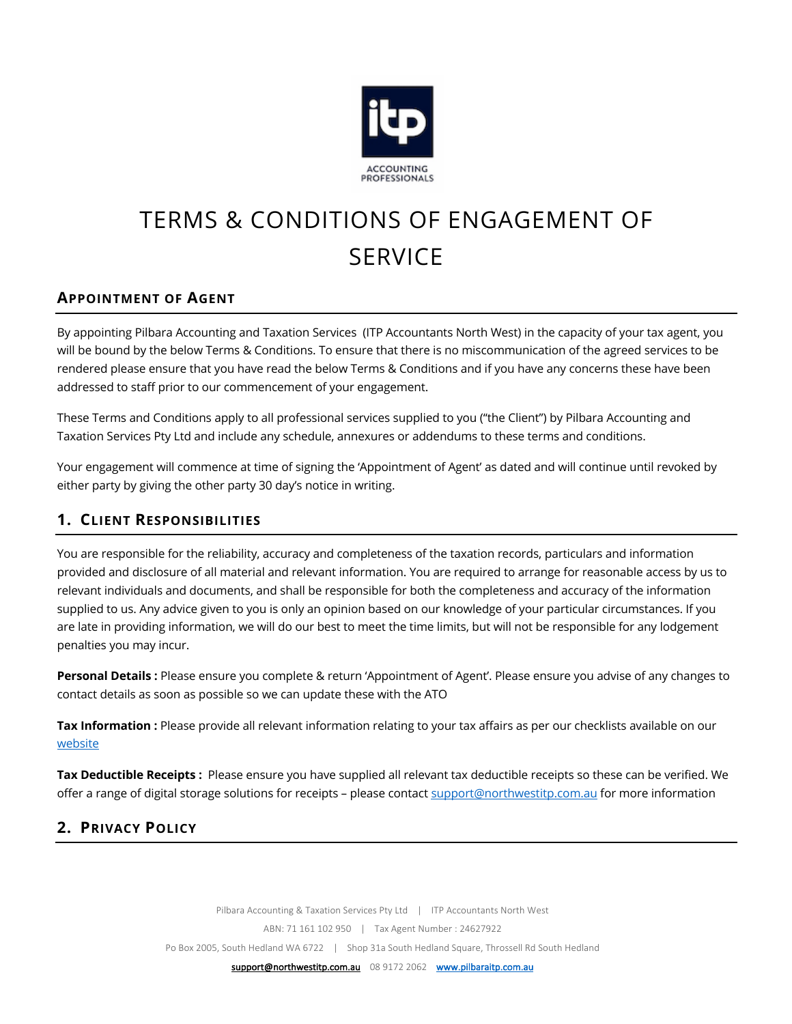

# TERMS & CONDITIONS OF ENGAGEMENT OF **SERVICE**

## **APPOINTMENT OF AGENT**

By appointing Pilbara Accounting and Taxation Services (ITP Accountants North West) in the capacity of your tax agent, you will be bound by the below Terms & Conditions. To ensure that there is no miscommunication of the agreed services to be rendered please ensure that you have read the below Terms & Conditions and if you have any concerns these have been addressed to staff prior to our commencement of your engagement.

These Terms and Conditions apply to all professional services supplied to you ("the Client") by Pilbara Accounting and Taxation Services Pty Ltd and include any schedule, annexures or addendums to these terms and conditions.

Your engagement will commence at time of signing the 'Appointment of Agent' as dated and will continue until revoked by either party by giving the other party 30 day's notice in writing.

#### **1. CLIENT RESPONSIBILITIES**

You are responsible for the reliability, accuracy and completeness of the taxation records, particulars and information provided and disclosure of all material and relevant information. You are required to arrange for reasonable access by us to relevant individuals and documents, and shall be responsible for both the completeness and accuracy of the information supplied to us. Any advice given to you is only an opinion based on our knowledge of your particular circumstances. If you are late in providing information, we will do our best to meet the time limits, but will not be responsible for any lodgement penalties you may incur.

**Personal Details :** Please ensure you complete & return 'Appointment of Agent'. Please ensure you advise of any changes to contact details as soon as possible so we can update these with the ATO

**Tax Information :** Please provide all relevant information relating to your tax affairs as per our checklists available on our website

**Tax Deductible Receipts :** Please ensure you have supplied all relevant tax deductible receipts so these can be verified. We offer a range of digital storage solutions for receipts – please contact support@northwestitp.com.au for more information

#### **2. PRIVACY POLICY**

Pilbara Accounting & Taxation Services Pty Ltd | ITP Accountants North West ABN: 71 161 102 950 | Tax Agent Number : 24627922 Po Box 2005, South Hedland WA 6722 | Shop 31a South Hedland Square, Throssell Rd South Hedland

support@northwestitp.com.au 08 9172 2062 www.pilbaraitp.com.au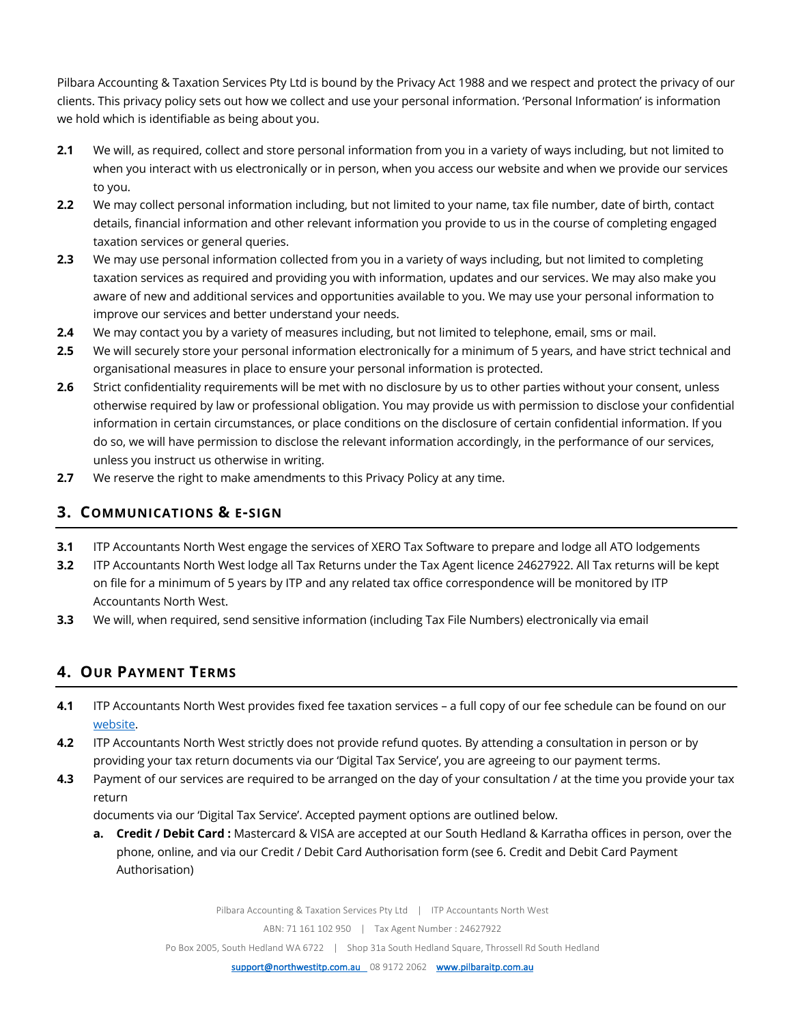Pilbara Accounting & Taxation Services Pty Ltd is bound by the Privacy Act 1988 and we respect and protect the privacy of our clients. This privacy policy sets out how we collect and use your personal information. 'Personal Information' is information we hold which is identifiable as being about you.

- **2.1** We will, as required, collect and store personal information from you in a variety of ways including, but not limited to when you interact with us electronically or in person, when you access our website and when we provide our services to you.
- **2.2** We may collect personal information including, but not limited to your name, tax file number, date of birth, contact details, financial information and other relevant information you provide to us in the course of completing engaged taxation services or general queries.
- **2.3** We may use personal information collected from you in a variety of ways including, but not limited to completing taxation services as required and providing you with information, updates and our services. We may also make you aware of new and additional services and opportunities available to you. We may use your personal information to improve our services and better understand your needs.
- **2.4** We may contact you by a variety of measures including, but not limited to telephone, email, sms or mail.
- **2.5** We will securely store your personal information electronically for a minimum of 5 years, and have strict technical and organisational measures in place to ensure your personal information is protected.
- **2.6** Strict confidentiality requirements will be met with no disclosure by us to other parties without your consent, unless otherwise required by law or professional obligation. You may provide us with permission to disclose your confidential information in certain circumstances, or place conditions on the disclosure of certain confidential information. If you do so, we will have permission to disclose the relevant information accordingly, in the performance of our services, unless you instruct us otherwise in writing.
- **2.7** We reserve the right to make amendments to this Privacy Policy at any time.

#### **3. COMMUNICATIONS & E-SIGN**

- **3.1** ITP Accountants North West engage the services of XERO Tax Software to prepare and lodge all ATO lodgements
- **3.2** ITP Accountants North West lodge all Tax Returns under the Tax Agent licence 24627922. All Tax returns will be kept on file for a minimum of 5 years by ITP and any related tax office correspondence will be monitored by ITP Accountants North West.
- **3.3** We will, when required, send sensitive information (including Tax File Numbers) electronically via email

## **4. OUR PAYMENT TERMS**

- **4.1** ITP Accountants North West provides fixed fee taxation services a full copy of our fee schedule can be found on our website.
- **4.2** ITP Accountants North West strictly does not provide refund quotes. By attending a consultation in person or by providing your tax return documents via our 'Digital Tax Service', you are agreeing to our payment terms.
- **4.3** Payment of our services are required to be arranged on the day of your consultation / at the time you provide your tax return

documents via our 'Digital Tax Service'. Accepted payment options are outlined below.

**a. Credit / Debit Card :** Mastercard & VISA are accepted at our South Hedland & Karratha offices in person, over the phone, online, and via our Credit / Debit Card Authorisation form (see 6. Credit and Debit Card Payment Authorisation)

Pilbara Accounting & Taxation Services Pty Ltd | ITP Accountants North West

ABN: 71 161 102 950 | Tax Agent Number : 24627922

Po Box 2005, South Hedland WA 6722 | Shop 31a South Hedland Square, Throssell Rd South Hedland